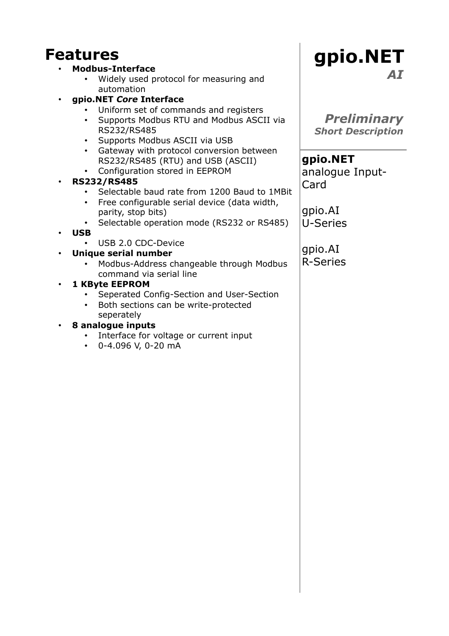# **Features**

#### • **Modbus-Interface**

- Widely used protocol for measuring and automation
- **gpio.NET** *Core* **Interface**
	- Uniform set of commands and registers
	- Supports Modbus RTU and Modbus ASCII via RS232/RS485
	- Supports Modbus ASCII via USB
	- Gateway with protocol conversion between RS232/RS485 (RTU) and USB (ASCII)
	- Configuration stored in EEPROM

#### • **RS232/RS485**

- Selectable baud rate from 1200 Baud to 1MBit
- Free configurable serial device (data width, parity, stop bits)
- Selectable operation mode (RS232 or RS485)

#### • **USB**

USB 2.0 CDC-Device

#### • **Unique serial number**

• Modbus-Address changeable through Modbus command via serial line

#### • **1 KByte EEPROM**

- Seperated Config-Section and User-Section
- Both sections can be write-protected seperately

#### • **8 analogue inputs**

- Interface for voltage or current input
- 0-4.096 V, 0-20 mA

## **gpio.NET** *AI*

*Preliminary Short Description*

**gpio.NET** analogue Input-Card

gpio.AI U-Series

gpio.AI R-Series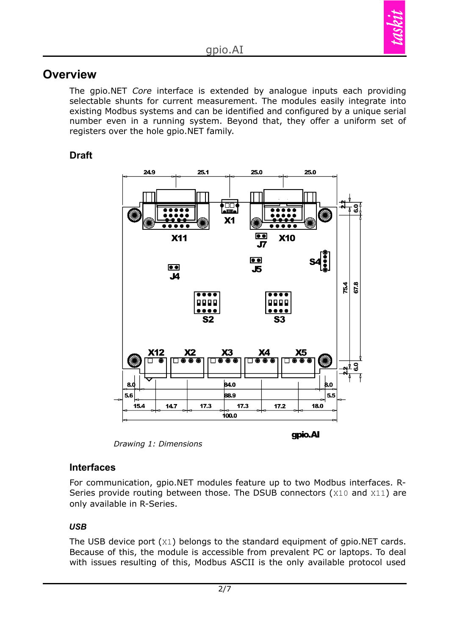

## **Overview**

The gpio.NET *Core* interface is extended by analogue inputs each providing selectable shunts for current measurement. The modules easily integrate into existing Modbus systems and can be identified and configured by a unique serial number even in a running system. Beyond that, they offer a uniform set of registers over the hole gpio.NET family.

## **Draft**



*Drawing 1: Dimensions*

#### **Interfaces**

For communication, gpio.NET modules feature up to two Modbus interfaces. R-Series provide routing between those. The DSUB connectors (X10 and X11) are only available in R-Series.

### *USB*

The USB device port (X1) belongs to the standard equipment of gpio.NET cards. Because of this, the module is accessible from prevalent PC or laptops. To deal with issues resulting of this, Modbus ASCII is the only available protocol used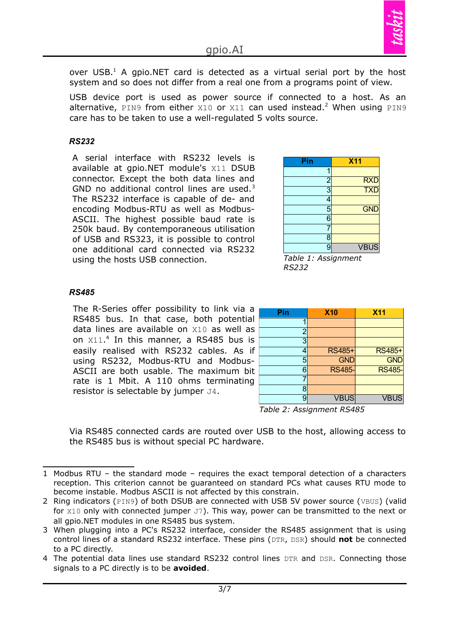

over USB. $<sup>1</sup>$  $<sup>1</sup>$  $<sup>1</sup>$  A gpio.NET card is detected as a virtual serial port by the host</sup> system and so does not differ from a real one from a programs point of view.

USB device port is used as power source if connected to a host. As an alternative, PIN9 from either  $x10$  or  $x11$  can used instead.<sup>[2](#page-2-1)</sup> When using PIN9 care has to be taken to use a well-regulated 5 volts source.

#### *RS232*

A serial interface with RS232 levels is available at gpio.NET module's X11 DSUB connector. Except the both data lines and GND no additional control lines are used.<sup>[3](#page-2-2)</sup> The RS232 interface is capable of de- and encoding Modbus-RTU as well as Modbus-ASCII. The highest possible baud rate is 250k baud. By [contemporaneous](http://dict.leo.org/ende?lp=ende&p=DOKJAA&search=contemporaneous&trestr=0x8004) utilisation of USB and RS323, it is possible to control one additional card connected via RS232 using the hosts USB connection.

| Pin            | <b>X11</b>  |
|----------------|-------------|
| 4              |             |
| $\frac{2}{3}$  | <b>RXD</b>  |
|                | <b>TXD</b>  |
| 4              |             |
| 5              | <b>GND</b>  |
| $\overline{6}$ |             |
|                |             |
| 8              |             |
| 9              | <b>VBUS</b> |
| _<br>$\sim$    | ۰           |

*Table 1: Assignment RS232*

#### *RS485*

The R-Series offer possibility to link via a RS485 bus. In that case, both potential data lines are available on X10 as well as on X11. [4](#page-2-3) In this manner, a RS485 bus is easily realised with RS232 cables. As if using RS232, Modbus-RTU and Modbus-ASCII are both usable. The maximum bit rate is 1 Mbit. A 110 ohms terminating resistor is selectable by jumper J4.

| Pin            | <b>X10</b>    | <b>X11</b>    |
|----------------|---------------|---------------|
|                |               |               |
| $\overline{c}$ |               |               |
| $\overline{3}$ |               |               |
| 4              | RS485+        | <b>RS485+</b> |
| 5              | <b>GND</b>    | <b>GND</b>    |
| 6              | <b>RS485-</b> | <b>RS485-</b> |
|                |               |               |
| 8              |               |               |
| 9              | <b>VBUS</b>   | <b>VBUS</b>   |

*Table 2: Assignment RS485*

Via RS485 connected cards are routed over USB to the host, allowing access to the RS485 bus is without special PC hardware.

<span id="page-2-0"></span><sup>1</sup> Modbus RTU – the standard mode – requires the exact temporal detection of a characters reception. This criterion cannot be guaranteed on standard PCs what causes RTU mode to become instable. Modbus ASCII is not affected by this constrain.

<span id="page-2-1"></span><sup>2</sup> Ring indicators (PIN9) of both DSUB are connected with USB 5V power source (VBUS) (valid for  $x10$  only with connected jumper  $J7$ ). This way, power can be transmitted to the next or all gpio.NET modules in one RS485 bus system.

<span id="page-2-2"></span><sup>3</sup> When plugging into a PC's RS232 interface, consider the RS485 assignment that is using control lines of a standard RS232 interface. These pins (DTR, DSR) should **not** be connected to a PC directly.

<span id="page-2-3"></span><sup>4</sup> The potential data lines use standard RS232 control lines DTR and DSR. Connecting those signals to a PC directly is to be **avoided**.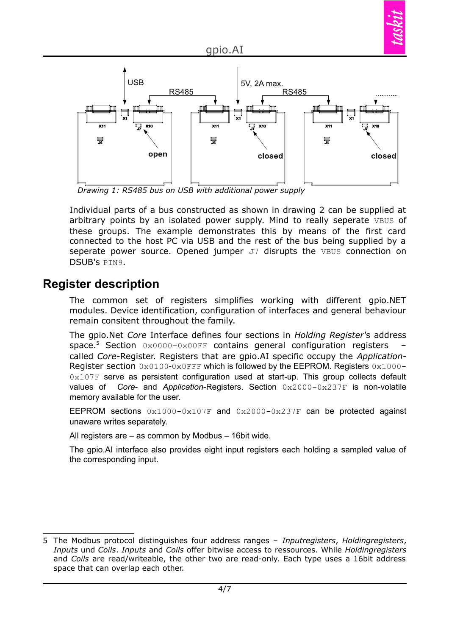

*Drawing 1: RS485 bus on USB with additional power supply*

Individual parts of a bus constructed as shown in drawing 2 can be supplied at arbitrary points by an isolated power supply. Mind to really seperate VBUS of these groups. The example demonstrates this by means of the first card connected to the host PC via USB and the rest of the bus being supplied by a seperate power source. Opened jumper J7 disrupts the VBUS connection on DSUB's PIN9.

## **Register description**

The common set of registers simplifies working with different gpio.NET modules. Device identification, configuration of interfaces and general behaviour remain consitent throughout the family.

The gpio.Net *Core* Interface defines four sections in *Holding Register'*s address space. [5](#page-3-0) Section 0x0000-0x00FF contains general configuration registers – called *Core*-Register. Registers that are gpio.AI specific occupy the *Application*-Register section  $0x0100-0x0$  FFF which is followed by the EEPROM. Registers  $0x1000-$ 0x107F serve as persistent configuration used at start-up. This group collects default values of *Core*- and *Application*-Registers. Section 0x2000-0x237F is non-volatile memory available for the user.

EEPROM sections  $0 \times 1000 - 0 \times 107$  and  $0 \times 2000 - 0 \times 237$  can be protected against unaware writes separately.

All registers are – as common by Modbus – 16bit wide.

The gpio.AI interface also provides eight input registers each holding a sampled value of the corresponding input.

<span id="page-3-0"></span><sup>5</sup> The Modbus protocol distinguishes four address ranges – *Inputregisters*, *Holdingregisters*, *Inputs* und *Coils*. *Inputs* and *Coils* offer bitwise access to ressources. While *Holdingregisters* and *Coils* are read/writeable, the other two are read-only. Each type uses a 16bit address space that can overlap each other.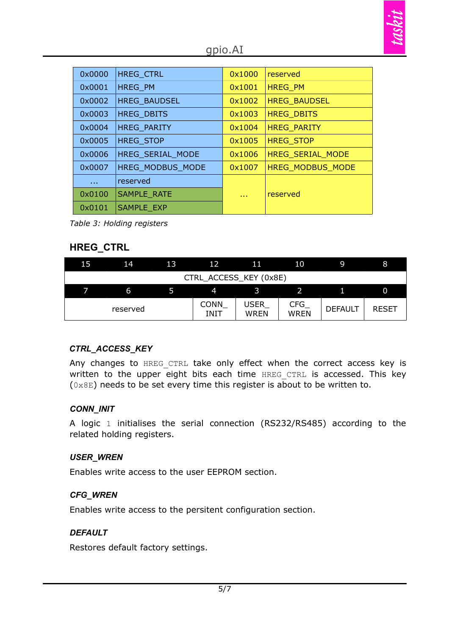### gpio.AI

| 0x0000        | <b>HREG CTRL</b>        | 0x1000     | reserved                |
|---------------|-------------------------|------------|-------------------------|
| 0x0001        | HREG PM                 | 0x1001     | <b>HREG PM</b>          |
| 0x0002        | <b>HREG BAUDSEL</b>     | 0x1002     | <b>HREG BAUDSEL</b>     |
| 0x0003        | <b>HREG DBITS</b>       | 0x1003     | <b>HREG DBITS</b>       |
| 0x0004        | <b>HREG PARITY</b>      | 0x1004     | <b>HREG_PARITY</b>      |
| 0x0005        | <b>HREG STOP</b>        | 0x1005     | <b>HREG STOP</b>        |
| 0x0006        | HREG SERIAL MODE        | 0x1006     | <b>HREG SERIAL MODE</b> |
| 0x0007        | <b>HREG MODBUS MODE</b> | 0x1007     | <b>HREG MODBUS MODE</b> |
| $\sim$ $\sim$ | reserved                |            |                         |
| 0x0100        | <b>SAMPLE RATE</b>      | <b>A</b> A | reserved                |
| 0x0101        | <b>SAMPLE EXP</b>       |            |                         |

*Table 3: Holding registers*

#### **HREG\_CTRL**

| 15                     | 14       | 13 | 12                  | 11                         | 10                 | .9             | 8            |
|------------------------|----------|----|---------------------|----------------------------|--------------------|----------------|--------------|
| CTRL_ACCESS_KEY (0x8E) |          |    |                     |                            |                    |                |              |
|                        | 6        |    | 4                   |                            |                    |                |              |
|                        | reserved |    | <b>CONN</b><br>INIT | <b>USER</b><br><b>WREN</b> | CFG<br><b>WREN</b> | <b>DEFAULT</b> | <b>RESET</b> |

### *CTRL\_ACCESS\_KEY*

Any changes to HREG CTRL take only effect when the correct access key is written to the upper eight bits each time HREG CTRL is accessed. This key  $(0 \times 8E)$  needs to be set every time this register is about to be written to.

#### *CONN\_INIT*

A logic 1 initialises the serial connection (RS232/RS485) according to the related holding registers.

#### *USER\_WREN*

Enables write access to the user EEPROM section.

#### *CFG\_WREN*

Enables write access to the persitent configuration section.

#### *DEFAULT*

Restores default factory settings.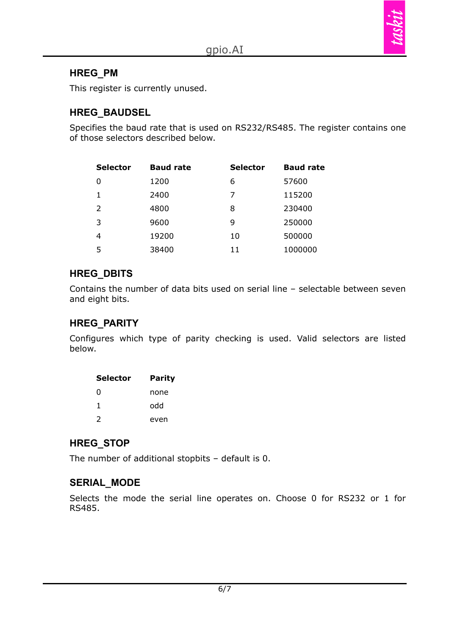

#### **HREG\_PM**

This register is currently unused.

#### **HREG\_BAUDSEL**

Specifies the baud rate that is used on RS232/RS485. The register contains one of those selectors described below.

| <b>Selector</b> | <b>Baud rate</b> | <b>Selector</b> | <b>Baud rate</b> |
|-----------------|------------------|-----------------|------------------|
| 0               | 1200             | 6               | 57600            |
| 1               | 2400             | 7               | 115200           |
| 2               | 4800             | 8               | 230400           |
| 3               | 9600             | 9               | 250000           |
| 4               | 19200            | 10              | 500000           |
| 5               | 38400            | 11              | 1000000          |

#### **HREG\_DBITS**

Contains the number of data bits used on serial line – selectable between seven and eight bits.

### **HREG\_PARITY**

Configures which type of parity checking is used. Valid selectors are listed below.

| <b>Selector</b> | <b>Parity</b> |
|-----------------|---------------|
| 0               | none          |
| 1               | hho           |
| $\mathcal{P}$   | even          |

#### **HREG\_STOP**

The number of additional stopbits – default is 0.

#### **SERIAL\_MODE**

Selects the mode the serial line operates on. Choose 0 for RS232 or 1 for RS485.